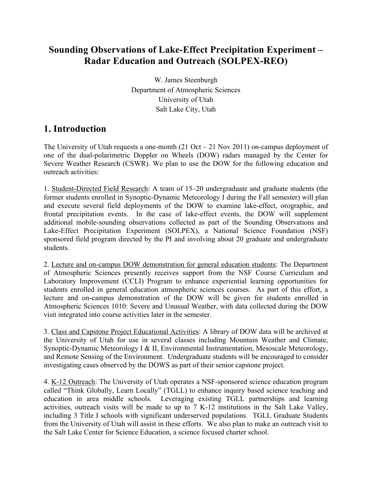## **Sounding Observations of Lake-Effect Precipitation Experiment – Radar Education and Outreach (SOLPEX-REO)**

W. James Steenburgh Department of Atmospheric Sciences University of Utah Salt Lake City, Utah

#### **1. Introduction**

The University of Utah requests a one-month  $(21 \text{ Oct} - 21 \text{ Nov } 2011)$  on-campus deployment of one of the dual-polarimetric Doppler on Wheels (DOW) radars managed by the Center for Severe Weather Research (CSWR). We plan to use the DOW for the following education and outreach activities:

1. Student-Directed Field Research: A team of 15–20 undergraduate and graduate students (the former students enrolled in Synoptic-Dynamic Meteorology I during the Fall semester) will plan and execute several field deployments of the DOW to examine lake-effect, orographic, and frontal precipitation events. In the case of lake-effect events, the DOW will supplement additional mobile-sounding observations collected as part of the Sounding Observations and Lake-Effect Precipitation Experiment (SOLPEX), a National Science Foundation (NSF) sponsored field program directed by the PI and involving about 20 graduate and undergraduate students.

2. Lecture and on-campus DOW demonstration for general education students: The Department of Atmospheric Sciences presently receives support from the NSF Course Curriculum and Laboratory Improvement (CCLI) Program to enhance experiential learning opportunities for students enrolled in general education atmospheric sciences courses. As part of this effort, a lecture and on-campus demonstration of the DOW will be given for students enrolled in Atmospheric Sciences 1010: Severe and Unusual Weather, with data collected during the DOW visit integrated into course activities later in the semester.

3. Class and Capstone Project Educational Activities: A library of DOW data will be archived at the University of Utah for use in several classes including Mountain Weather and Climate, Synoptic-Dynamic Meteorology I & II, Environmental Instrumentation, Mesoscale Meteorology, and Remote Sensing of the Environment. Undergraduate students will be encouraged to consider investigating cases observed by the DOWS as part of their senior capstone project.

4. K-12 Outreach: The University of Utah operates a NSF-sponsored science education program called "Think Globally, Learn Locally" (TGLL) to enhance inquiry based science teaching and education in area middle schools. Leveraging existing TGLL partnerships and learning activities, outreach visits will be made to up to 7 K-12 institutions in the Salt Lake Valley, including 3 Title I schools with significant underserved populations. TGLL Graduate Students from the University of Utah will assist in these efforts. We also plan to make an outreach visit to the Salt Lake Center for Science Education, a science focused charter school.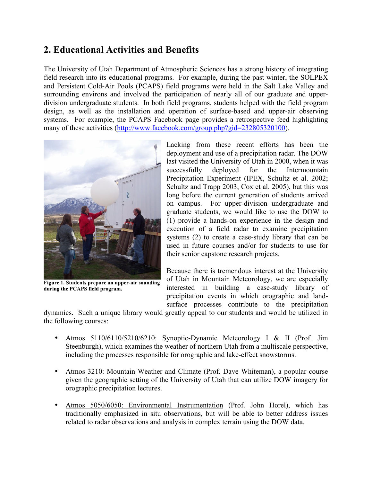## **2. Educational Activities and Benefits**

The University of Utah Department of Atmospheric Sciences has a strong history of integrating field research into its educational programs. For example, during the past winter, the SOLPEX and Persistent Cold-Air Pools (PCAPS) field programs were held in the Salt Lake Valley and surrounding environs and involved the participation of nearly all of our graduate and upperdivision undergraduate students. In both field programs, students helped with the field program design, as well as the installation and operation of surface-based and upper-air observing systems. For example, the PCAPS Facebook page provides a retrospective feed highlighting many of these activities (http://www.facebook.com/group.php?gid=232805320100).



**Figure 1. Students prepare an upper-air sounding during the PCAPS field program.**

Lacking from these recent efforts has been the deployment and use of a precipitation radar. The DOW last visited the University of Utah in 2000, when it was successfully deployed for the Intermountain Precipitation Experiment (IPEX, Schultz et al. 2002; Schultz and Trapp 2003; Cox et al. 2005), but this was long before the current generation of students arrived on campus. For upper-division undergraduate and graduate students, we would like to use the DOW to (1) provide a hands-on experience in the design and execution of a field radar to examine precipitation systems (2) to create a case-study library that can be used in future courses and/or for students to use for their senior capstone research projects.

Because there is tremendous interest at the University of Utah in Mountain Meteorology, we are especially interested in building a case-study library of precipitation events in which orographic and landsurface processes contribute to the precipitation

dynamics. Such a unique library would greatly appeal to our students and would be utilized in the following courses:

- Atmos 5110/6110/5210/6210: Synoptic-Dynamic Meteorology I & II (Prof. Jim Steenburgh), which examines the weather of northern Utah from a multiscale perspective, including the processes responsible for orographic and lake-effect snowstorms.
- Atmos 3210: Mountain Weather and Climate (Prof. Dave Whiteman), a popular course given the geographic setting of the University of Utah that can utilize DOW imagery for orographic precipitation lectures.
- Atmos 5050/6050: Environmental Instrumentation (Prof. John Horel), which has traditionally emphasized in situ observations, but will be able to better address issues related to radar observations and analysis in complex terrain using the DOW data.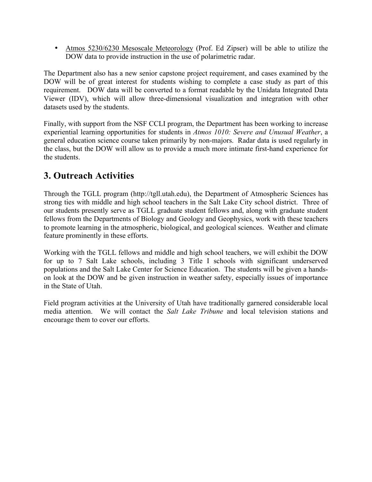• Atmos 5230/6230 Mesoscale Meteorology (Prof. Ed Zipser) will be able to utilize the DOW data to provide instruction in the use of polarimetric radar.

The Department also has a new senior capstone project requirement, and cases examined by the DOW will be of great interest for students wishing to complete a case study as part of this requirement. DOW data will be converted to a format readable by the Unidata Integrated Data Viewer (IDV), which will allow three-dimensional visualization and integration with other datasets used by the students.

Finally, with support from the NSF CCLI program, the Department has been working to increase experiential learning opportunities for students in *Atmos 1010: Severe and Unusual Weather*, a general education science course taken primarily by non-majors. Radar data is used regularly in the class, but the DOW will allow us to provide a much more intimate first-hand experience for the students.

## **3. Outreach Activities**

Through the TGLL program (http://tgll.utah.edu), the Department of Atmospheric Sciences has strong ties with middle and high school teachers in the Salt Lake City school district. Three of our students presently serve as TGLL graduate student fellows and, along with graduate student fellows from the Departments of Biology and Geology and Geophysics, work with these teachers to promote learning in the atmospheric, biological, and geological sciences. Weather and climate feature prominently in these efforts.

Working with the TGLL fellows and middle and high school teachers, we will exhibit the DOW for up to 7 Salt Lake schools, including 3 Title I schools with significant underserved populations and the Salt Lake Center for Science Education. The students will be given a handson look at the DOW and be given instruction in weather safety, especially issues of importance in the State of Utah.

Field program activities at the University of Utah have traditionally garnered considerable local media attention. We will contact the *Salt Lake Tribune* and local television stations and encourage them to cover our efforts.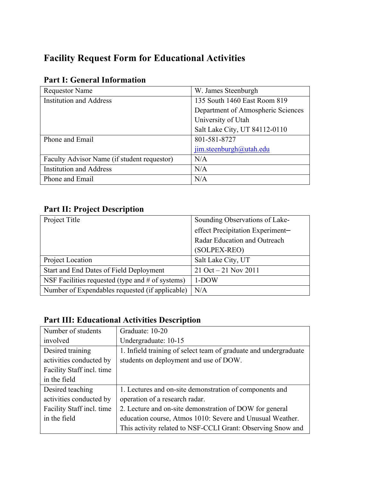# **Facility Request Form for Educational Activities**

| <b>Requestor Name</b>                       | W. James Steenburgh                |
|---------------------------------------------|------------------------------------|
|                                             |                                    |
| <b>Institution and Address</b>              | 135 South 1460 East Room 819       |
|                                             | Department of Atmospheric Sciences |
|                                             | University of Utah                 |
|                                             | Salt Lake City, UT 84112-0110      |
| Phone and Email                             | 801-581-8727                       |
|                                             | jim.steenburgh@utah.edu            |
| Faculty Advisor Name (if student requestor) | N/A                                |
| <b>Institution and Address</b>              | N/A                                |
| Phone and Email                             | N/A                                |

### **Part I: General Information**

## **Part II: Project Description**

| Project Title                                      | Sounding Observations of Lake-   |
|----------------------------------------------------|----------------------------------|
|                                                    | effect Precipitation Experiment- |
|                                                    | Radar Education and Outreach     |
|                                                    | (SOLPEX-REO)                     |
| Project Location                                   | Salt Lake City, UT               |
| Start and End Dates of Field Deployment            | $21$ Oct $-21$ Nov 2011          |
| NSF Facilities requested (type and $#$ of systems) | $1-DOW$                          |
| Number of Expendables requested (if applicable)    | N/A                              |

## **Part III: Educational Activities Description**

| Number of students        | Graduate: 10-20                                                  |
|---------------------------|------------------------------------------------------------------|
| involved                  | Undergraduate: 10-15                                             |
| Desired training          | 1. Infield training of select team of graduate and undergraduate |
| activities conducted by   | students on deployment and use of DOW.                           |
| Facility Staff incl. time |                                                                  |
| in the field              |                                                                  |
| Desired teaching          | 1. Lectures and on-site demonstration of components and          |
| activities conducted by   | operation of a research radar.                                   |
| Facility Staff incl. time | 2. Lecture and on-site demonstration of DOW for general          |
| in the field              | education course, Atmos 1010: Severe and Unusual Weather.        |
|                           | This activity related to NSF-CCLI Grant: Observing Snow and      |